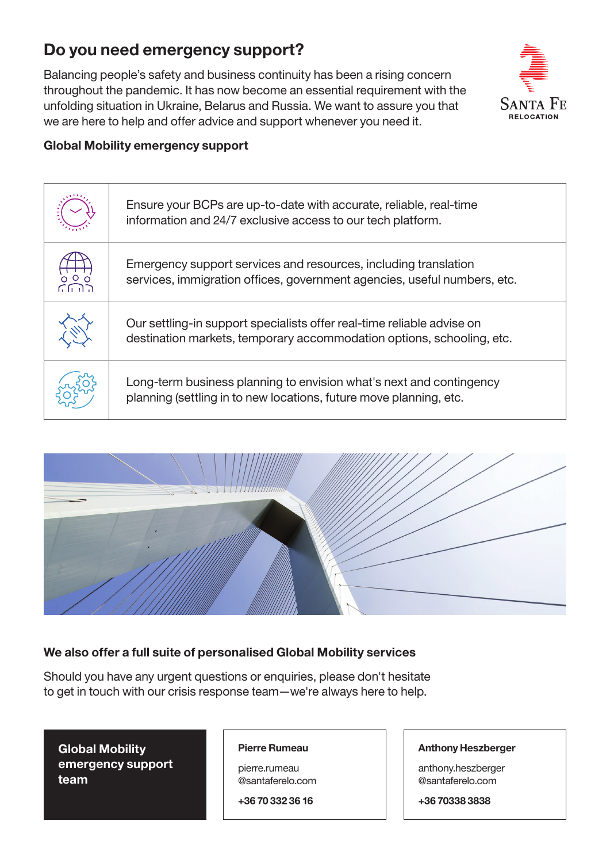# Do you need emergency support?

Balancing people's safety and business continuity has been a rising concern throughout the pandemic. It has now become an essential requirement with the unfolding situation in Ukraine, Belarus and Russia. We want to assure you that we are here to help and offer advice and support whenever you need it.



### Global Mobility emergency support

|                 | Ensure your BCPs are up-to-date with accurate, reliable, real-time<br>information and 24/7 exclusive access to our tech platform.               |
|-----------------|-------------------------------------------------------------------------------------------------------------------------------------------------|
| $\circ$ $\circ$ | Emergency support services and resources, including translation<br>services, immigration offices, government agencies, useful numbers, etc.     |
|                 | Our settling-in support specialists offer real-time reliable advise on<br>destination markets, temporary accommodation options, schooling, etc. |
|                 | Long-term business planning to envision what's next and contingency<br>planning (settling in to new locations, future move planning, etc.       |



## We also offer a full suite of personalised Global Mobility services

Should you have any urgent questions or enquiries, please don't hesitate to get in touch with our crisis response team—we're always here to help.

Global Mobility emergency support team

#### Pierre Rumeau

pierre.rumeau @santaferelo.com

+36 70 332 36 16

#### Anthony Heszberger

anthony.heszberger @santaferelo.com

+36 70338 3838